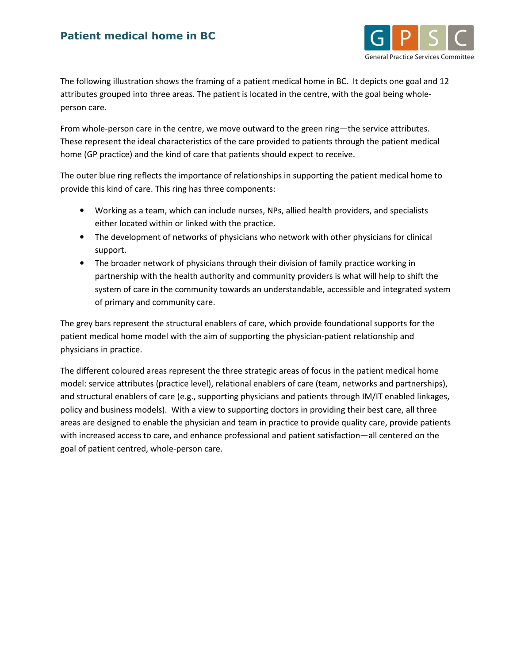## Patient medical home in BC



The following illustration shows the framing of a patient medical home in BC. It depicts one goal and 12 attributes grouped into three areas. The patient is located in the centre, with the goal being wholeperson care.

From whole-person care in the centre, we move outward to the green ring—the service attributes. These represent the ideal characteristics of the care provided to patients through the patient medical home (GP practice) and the kind of care that patients should expect to receive.

The outer blue ring reflects the importance of relationships in supporting the patient medical home to provide this kind of care. This ring has three components:

- Working as a team, which can include nurses, NPs, allied health providers, and specialists either located within or linked with the practice.
- The development of networks of physicians who network with other physicians for clinical support.
- The broader network of physicians through their division of family practice working in partnership with the health authority and community providers is what will help to shift the system of care in the community towards an understandable, accessible and integrated system of primary and community care.

The grey bars represent the structural enablers of care, which provide foundational supports for the patient medical home model with the aim of supporting the physician-patient relationship and physicians in practice.

The different coloured areas represent the three strategic areas of focus in the patient medical home model: service attributes (practice level), relational enablers of care (team, networks and partnerships), and structural enablers of care (e.g., supporting physicians and patients through IM/IT enabled linkages, policy and business models). With a view to supporting doctors in providing their best care, all three areas are designed to enable the physician and team in practice to provide quality care, provide patients with increased access to care, and enhance professional and patient satisfaction—all centered on the goal of patient centred, whole-person care.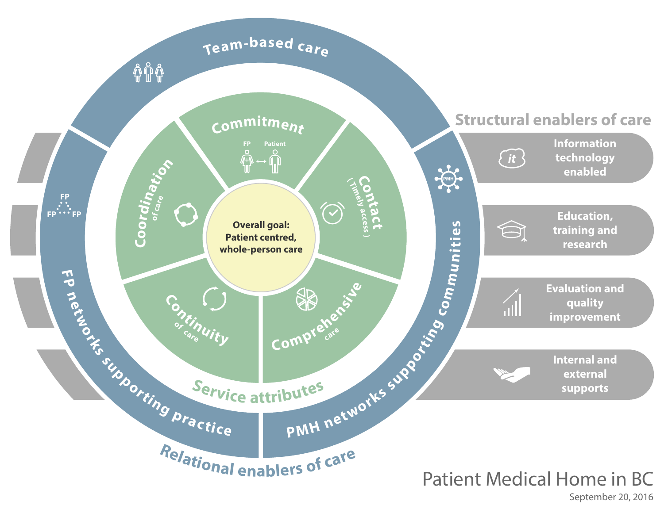